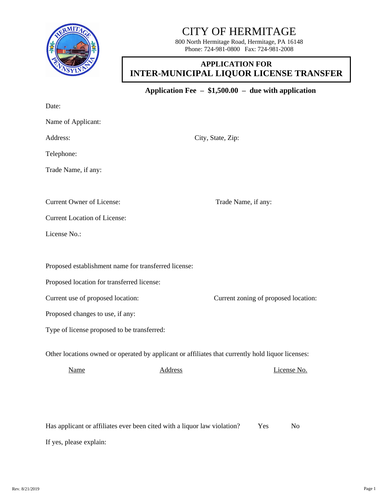

## CITY OF HERMITAGE

800 North Hermitage Road, Hermitage, PA 16148 Phone: 724-981-0800 Fax: 724-981-2008

## **APPLICATION FOR INTER-MUNICIPAL LIQUOR LICENSE TRANSFER**

**Application Fee – \$1,500.00 – due with application**

Date:

Name of Applicant:

Address: City, State, Zip:

Telephone:

Trade Name, if any:

Current Owner of License: Trade Name, if any:

Current Location of License:

License No.:

Proposed establishment name for transferred license:

Proposed location for transferred license:

Current use of proposed location: Current zoning of proposed location:

Proposed changes to use, if any:

Type of license proposed to be transferred:

Other locations owned or operated by applicant or affiliates that currently hold liquor licenses:

Name Address Address License No.

Has applicant or affiliates ever been cited with a liquor law violation? Yes No If yes, please explain: